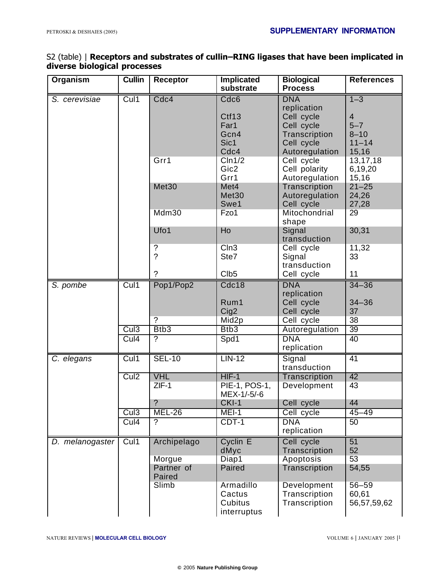## S2 (table) | **Receptors and substrates of cullin–RING ligases that have been implicated in diverse biological processes**

| Organism        | <b>Cullin</b>    | <b>Receptor</b> | <b>Implicated</b>      | <b>Biological</b>           | <b>References</b>   |
|-----------------|------------------|-----------------|------------------------|-----------------------------|---------------------|
|                 |                  |                 | substrate              | <b>Process</b>              |                     |
| S. cerevisiae   | Cul1             | Cdc4            | Cdc <sub>6</sub>       | <b>DNA</b>                  | $1 - 3$             |
|                 |                  |                 |                        | replication                 |                     |
|                 |                  |                 | Ctf13                  | Cell cycle                  | 4                   |
|                 |                  |                 | Far1<br>Gcn4           | Cell cycle                  | $5 - 7$<br>$8 - 10$ |
|                 |                  |                 | Sic1                   | Transcription<br>Cell cycle | $11 - 14$           |
|                 |                  |                 | Cdc4                   | Autoregulation              | 15,16               |
|                 |                  | Grr1            | C <sub>ln1/2</sub>     | Cell cycle                  | 13,17,18            |
|                 |                  |                 | Gic2                   | Cell polarity               | 6,19,20             |
|                 |                  |                 | Grr1                   | Autoregulation              | 15,16               |
|                 |                  | Met30           | Met4                   | Transcription               | $21 - 25$           |
|                 |                  |                 | Met30                  | Autoregulation              | 24,26               |
|                 |                  |                 | Swe1                   | Cell cycle                  | 27,28               |
|                 |                  | Mdm30           | Fzo1                   | Mitochondrial               | 29                  |
|                 |                  |                 |                        | shape                       |                     |
|                 |                  | Ufo1            | Ho                     | Signal                      | 30,31               |
|                 |                  |                 |                        | transduction                |                     |
|                 |                  | ?               | CIn3                   | Cell cycle                  | 11,32               |
|                 |                  | $\overline{?}$  | Ste7                   | Signal                      | 33                  |
|                 |                  | ?               |                        | transduction                |                     |
|                 |                  |                 | Clb <sub>5</sub>       | Cell cycle                  | 11                  |
| S. pombe        | Cul1             | Pop1/Pop2       | Cdc18                  | <b>DNA</b>                  | $34 - 36$           |
|                 |                  |                 | Rum1                   | replication                 | $34 - 36$           |
|                 |                  |                 | Cig2                   | Cell cycle<br>Cell cycle    | 37                  |
|                 |                  | $\overline{?}$  | Mid2p                  | Cell cycle                  | 38                  |
|                 | Cul <sub>3</sub> | Btb3            | Btb3                   | Autoregulation              | $\overline{39}$     |
|                 | Cul4             | $\overline{?}$  | Spd1                   | <b>DNA</b>                  | 40                  |
|                 |                  |                 |                        | replication                 |                     |
| C. elegans      | Cul1             | <b>SEL-10</b>   | $LIN-12$               | Signal                      | 41                  |
|                 |                  |                 |                        | transduction                |                     |
|                 | Cul <sub>2</sub> | <b>VHL</b>      | $HIF-1$                | Transcription               | 42                  |
|                 |                  | $ZIF-1$         | PIE-1, POS-1,          | Development                 | 43                  |
|                 |                  | C               | MEX-1/-5/-6<br>CKI-1   | Cell cycle                  | 44                  |
|                 | Cul <sub>3</sub> | <b>MEL-26</b>   | MEI-1                  | Cell cycle                  | $45 - 49$           |
|                 | Cul4             | ?               | $CDT-1$                | <b>DNA</b>                  | 50                  |
|                 |                  |                 |                        | replication                 |                     |
| D. melanogaster | Cul1             | Archipelago     | Cyclin E               | Cell cycle                  | $\overline{51}$     |
|                 |                  |                 | dMyc                   | Transcription               | 52                  |
|                 |                  | Morgue          | Diap1                  | Apoptosis                   | 53                  |
|                 |                  | Partner of      | Paired                 | Transcription               | 54,55               |
|                 |                  | Paired          |                        |                             |                     |
|                 |                  | Slimb           | Armadillo              | Development                 | $56 - 59$           |
|                 |                  |                 | Cactus                 | Transcription               | 60,61               |
|                 |                  |                 | Cubitus<br>interruptus | Transcription               | 56,57,59,62         |
|                 |                  |                 |                        |                             |                     |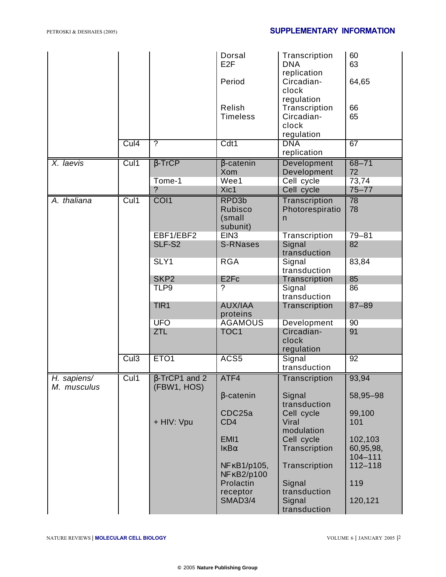|                            |      |                                            | Dorsal<br>E <sub>2F</sub><br>Period                | Transcription<br><b>DNA</b><br>replication<br>Circadian-<br>clock | 60<br>63<br>64,65                   |
|----------------------------|------|--------------------------------------------|----------------------------------------------------|-------------------------------------------------------------------|-------------------------------------|
|                            |      |                                            | Relish<br><b>Timeless</b>                          | regulation<br>Transcription<br>Circadian-<br>clock<br>regulation  | 66<br>65                            |
|                            | Cul4 | $\overline{?}$                             | Cdt1                                               | <b>DNA</b><br>replication                                         | 67                                  |
| X. laevis                  | Cul1 | $\beta$ -TrCP                              | $\beta$ -catenin<br>Xom                            | Development<br>Development                                        | $68 - 71$<br>72                     |
|                            |      | Tome-1<br>?                                | Wee1<br>Xic1                                       | Cell cycle<br>Cell cycle                                          | 73,74<br>$75 - 77$                  |
| A. thaliana                | Cul1 | CO <sub>I1</sub>                           | RPD <sub>3b</sub><br>Rubisco<br>(small<br>subunit) | Transcription<br>Photorespiratio<br>$\mathsf{n}$                  | 78<br>78                            |
|                            |      | EBF1/EBF2                                  | EIN <sub>3</sub>                                   | Transcription                                                     | $79 - 81$                           |
|                            |      | SLF-S2                                     | <b>S-RNases</b>                                    | Signal<br>transduction                                            | 82                                  |
|                            |      | SLY1                                       | <b>RGA</b>                                         | Signal<br>transduction                                            | 83,84                               |
|                            |      | SKP <sub>2</sub>                           | E <sub>2Fc</sub>                                   | Transcription                                                     | 85                                  |
|                            |      | TLP9                                       | ?                                                  | Signal<br>transduction                                            | 86                                  |
|                            |      | TIR1                                       | <b>AUX/IAA</b><br>proteins                         | Transcription                                                     | $87 - 89$                           |
|                            |      | <b>UFO</b>                                 | <b>AGAMOUS</b>                                     | Development                                                       | 90                                  |
|                            |      | <b>ZTL</b>                                 | TOC <sub>1</sub>                                   | Circadian-<br>clock<br>regulation                                 | 91                                  |
|                            | Cul3 | ETO <sub>1</sub>                           | ACS5                                               | Signal<br>transduction                                            | $\overline{92}$                     |
| H. sapiens/<br>M. musculus | Cul1 | $\sqrt{\beta}$ -TrCP1 and 2<br>(FBW1, HOS) | ATF4                                               | Transcription                                                     | 93,94                               |
|                            |      |                                            | $\beta$ -catenin                                   | Signal<br>transduction                                            | 58,95-98                            |
|                            |      | + HIV: Vpu                                 | CDC25a<br>CD <sub>4</sub>                          | Cell cycle<br>Viral<br>modulation                                 | 99,100<br>101                       |
|                            |      |                                            | EMI1<br>$\mathsf{I}\kappa\mathsf{B}\alpha$         | Cell cycle<br>Transcription                                       | 102,103<br>60,95,98,<br>$104 - 111$ |
|                            |      |                                            | NF κB1/p105,<br>NF κB2/p100                        | Transcription                                                     | $112 - 118$                         |
|                            |      |                                            | Prolactin<br>receptor                              | Signal<br>transduction                                            | 119                                 |
|                            |      |                                            | SMAD3/4                                            | Signal<br>transduction                                            | 120,121                             |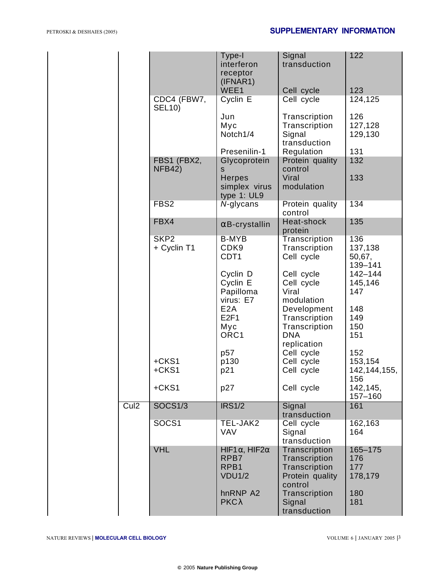|                            |                                 | Type-I<br>interferon<br>receptor<br>(IFNAR1)                   | Signal<br>transduction                                                        | 122                                 |
|----------------------------|---------------------------------|----------------------------------------------------------------|-------------------------------------------------------------------------------|-------------------------------------|
|                            | CDC4 (FBW7,                     | WEE <sub>1</sub><br>Cyclin E                                   | Cell cycle<br>Cell cycle                                                      | 123<br>124,125                      |
|                            | <b>SEL10)</b>                   | Jun<br>Myc<br>Notch1/4<br>Presenilin-1                         | Transcription<br>Transcription<br>Signal<br>transduction<br>Regulation        | 126<br>127,128<br>129,130<br>131    |
|                            | FBS1 (FBX2,                     | Glycoprotein                                                   | Protein quality                                                               | 132                                 |
|                            | <b>NFB42)</b>                   | S<br><b>Herpes</b><br>simplex virus<br>type 1: UL9             | control<br>Viral<br>modulation                                                | 133                                 |
|                            | FBS <sub>2</sub>                | N-glycans                                                      | Protein quality<br>control                                                    | 134                                 |
|                            | FBX4                            | $\alpha$ B-crystallin                                          | Heat-shock<br>protein                                                         | 135                                 |
|                            | SKP <sub>2</sub><br>+ Cyclin T1 | <b>B-MYB</b><br>CDK9<br>CDT <sub>1</sub>                       | Transcription<br>Transcription<br>Cell cycle                                  | 136<br>137,138<br>50,67,<br>139-141 |
|                            |                                 | Cyclin D<br>Cyclin E<br>Papilloma<br>virus: E7                 | Cell cycle<br>Cell cycle<br>Viral<br>modulation                               | 142-144<br>145,146<br>147           |
|                            |                                 | E <sub>2</sub> A<br>E2F1<br>Myc<br>ORC1                        | Development<br>Transcription<br>Transcription<br><b>DNA</b><br>replication    | 148<br>149<br>150<br>151            |
|                            |                                 | p57                                                            | Cell cycle                                                                    | 152                                 |
|                            | +CKS1<br>+CKS1                  | p130<br>p21                                                    | Cell cycle<br>Cell cycle                                                      | 153,154<br>142, 144, 155,           |
|                            | +CKS1                           | p27                                                            | Cell cycle                                                                    | 156<br>142,145,<br>157-160          |
| $\overline{\mathrm{Cul2}}$ | <b>SOCS1/3</b>                  | <b>IRS1/2</b>                                                  | Signal<br>transduction                                                        | 161                                 |
|                            | SOCS1                           | TEL-JAK2<br><b>VAV</b>                                         | Cell cycle<br>Signal<br>transduction                                          | 162,163<br>164                      |
|                            | <b>VHL</b>                      | HIF1 $\alpha$ , HIF2 $\alpha$<br>RPB7<br>RPB1<br><b>VDU1/2</b> | Transcription<br>Transcription<br>Transcription<br>Protein quality<br>control | 165-175<br>176<br>177<br>178,179    |
|                            |                                 | hnRNP A2<br>$PKC\lambda$                                       | Transcription<br>Signal<br>transduction                                       | 180<br>181                          |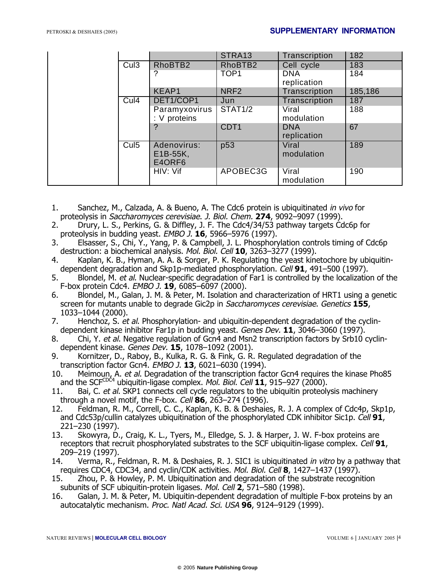|  |                  |                                   | STRA13           | Transcription             | 182     |
|--|------------------|-----------------------------------|------------------|---------------------------|---------|
|  | Cul3             | RhoBTB2                           | RhoBTB2          | Cell cycle                | 183     |
|  |                  |                                   | TOP <sub>1</sub> | <b>DNA</b><br>replication | 184     |
|  |                  | KEAP1                             | NRF <sub>2</sub> | Transcription             | 185,186 |
|  | Cul4             | DET1/COP1                         | Jun              | Transcription             | 187     |
|  |                  | Paramyxovirus<br>: V proteins     | <b>STAT1/2</b>   | Viral<br>modulation       | 188     |
|  |                  |                                   | CDT <sub>1</sub> | <b>DNA</b><br>replication | 67      |
|  | Cul <sub>5</sub> | Adenovirus:<br>E1B-55K,<br>E4ORF6 | p53              | Viral<br>modulation       | 189     |
|  |                  | HIV: Vif                          | APOBEC3G         | Viral<br>modulation       | 190     |

- 1. Sanchez, M., Calzada, A. & Bueno, A. The Cdc6 protein is ubiquitinated in vivo for proteolysis in Saccharomyces cerevisiae. J. Biol. Chem. **274**, 9092–9097 (1999).
- 2. Drury, L. S., Perkins, G. & Diffley, J. F. The Cdc4/34/53 pathway targets Cdc6p for proteolysis in budding yeast. EMBO J. **16**, 5966–5976 (1997).
- 3. Elsasser, S., Chi, Y., Yang, P. & Campbell, J. L. Phosphorylation controls timing of Cdc6p destruction: a biochemical analysis. Mol. Biol. Cell **10**, 3263–3277 (1999).
- 4. Kaplan, K. B., Hyman, A. A. & Sorger, P. K. Regulating the yeast kinetochore by ubiquitindependent degradation and Skp1p-mediated phosphorylation. Cell **91**, 491–500 (1997).
- 5. Blondel, M. et al. Nuclear-specific degradation of Far1 is controlled by the localization of the F-box protein Cdc4. EMBO J. **19**, 6085–6097 (2000).
- 6. Blondel, M., Galan, J. M. & Peter, M. Isolation and characterization of HRT1 using a genetic screen for mutants unable to degrade Gic2p in Saccharomyces cerevisiae. Genetics **155**, 1033–1044 (2000).
- 7. Henchoz, S. et al. Phosphorylation- and ubiquitin-dependent degradation of the cyclindependent kinase inhibitor Far1p in budding yeast. Genes Dev. **11**, 3046–3060 (1997).
- 8. Chi, Y. et al. Negative regulation of Gcn4 and Msn2 transcription factors by Srb10 cyclindependent kinase. Genes Dev. **15**, 1078–1092 (2001).
- 9. Kornitzer, D., Raboy, B., Kulka, R. G. & Fink, G. R. Regulated degradation of the transcription factor Gcn4. EMBO J. **13**, 6021–6030 (1994).
- Meimoun, A. et al. Degradation of the transcription factor Gcn4 requires the kinase Pho85 and the SCF<sup>CDC4</sup> ubiquitin-ligase complex. Mol. Biol. Cell **11**, 915–927 (2000).
- 11. Bai, C. et al. SKP1 connects cell cycle regulators to the ubiquitin proteolysis machinery through a novel motif, the F-box. Cell **86**, 263–274 (1996).
- 12. Feldman, R. M., Correll, C. C., Kaplan, K. B. & Deshaies, R. J. A complex of Cdc4p, Skp1p, and Cdc53p/cullin catalyzes ubiquitination of the phosphorylated CDK inhibitor Sic1p. Cell **91**, 221–230 (1997).
- 13. Skowyra, D., Craig, K. L., Tyers, M., Elledge, S. J. & Harper, J. W. F-box proteins are receptors that recruit phosphorylated substrates to the SCF ubiquitin-ligase complex. Cell **91**, 209–219 (1997).
- 14. Verma, R., Feldman, R. M. & Deshaies, R. J. SIC1 is ubiquitinated *in vitro* by a pathway that requires CDC4, CDC34, and cyclin/CDK activities. Mol. Biol. Cell **8**, 1427–1437 (1997).
- 15. Zhou, P. & Howley, P. M. Ubiquitination and degradation of the substrate recognition subunits of SCF ubiquitin-protein ligases. Mol. Cell **2**, 571–580 (1998).
- 16. Galan, J. M. & Peter, M. Ubiquitin-dependent degradation of multiple F-box proteins by an autocatalytic mechanism. Proc. Natl Acad. Sci. USA **96**, 9124–9129 (1999).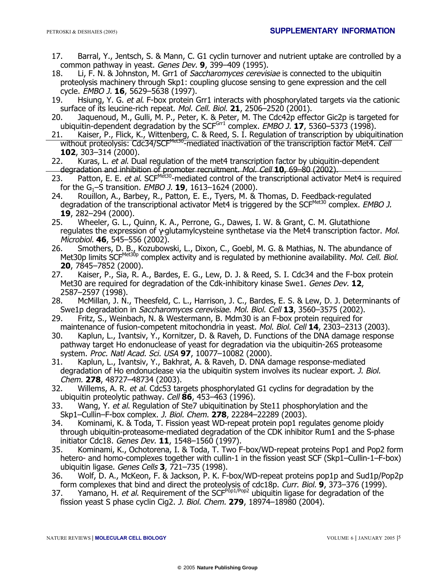- 17. Barral, Y., Jentsch, S. & Mann, C. G1 cyclin turnover and nutrient uptake are controlled by a common pathway in yeast. Genes Dev. **9**, 399–409 (1995).
- 18. Li, F. N. & Johnston, M. Grr1 of Saccharomyces cerevisiae is connected to the ubiquitin proteolysis machinery through Skp1: coupling glucose sensing to gene expression and the cell cycle. EMBO J. **16**, 5629–5638 (1997).
- 19. Hsiung, Y. G. et al. F-box protein Grr1 interacts with phosphorylated targets via the cationic surface of its leucine-rich repeat. Mol. Cell. Biol. **21**, 2506–2520 (2001).
- 20. Jaquenoud, M., Gulli, M. P., Peter, K. & Peter, M. The Cdc42p effector Gic2p is targeted for ubiquitin-dependent degradation by the SCF<sup>Gr1</sup> complex. *EMBO J.* **17**, 5360–5373 (1998).
- 21. Kaiser, P., Flick, K., Wittenberg, C. & Reed, S. I. Regulation of transcription by ubiquitination without proteolysis: Cdc34/SCF<sup>Met30</sup>-mediated inactivation of the transcription factor Met4. Cell **102**, 303–314 (2000).
- 22. Kuras, L. et al. Dual regulation of the met4 transcription factor by ubiquitin-dependent degradation and inhibition of promoter recruitment. Mol. Cell **10**, 69–80 (2002).
- 23. Patton, E. E. et al. SCF<sup>Met30</sup>-mediated control of the transcriptional activator Met4 is required for the G<sub>1</sub>–S transition. *EMBO J.* **19**, 1613–1624 (2000).<br>24. Rouillon, A., Barbey, R., Patton, E. E., Tvers, M. &
- Rouillon, A., Barbey, R., Patton, E. E., Tyers, M. & Thomas, D. Feedback-regulated degradation of the transcriptional activator Met4 is triggered by the SCF<sup>Met30</sup> complex. EMBO J. **19**, 282–294 (2000).
- 25. Wheeler, G. L., Quinn, K. A., Perrone, G., Dawes, I. W. & Grant, C. M. Glutathione regulates the expression of  $\gamma$ -glutamylcysteine synthetase via the Met4 transcription factor. Mol. Microbiol. **46**, 545–556 (2002).
- 26. Smothers, D. B., Kozubowski, L., Dixon, C., Goebl, M. G. & Mathias, N. The abundance of Met30p limits SCF<sup>Met30p</sup> complex activity and is regulated by methionine availability. Mol. Cell. Biol. **20**, 7845–7852 (2000).
- 27. Kaiser, P., Sia, R. A., Bardes, E. G., Lew, D. J. & Reed, S. I. Cdc34 and the F-box protein Met30 are required for degradation of the Cdk-inhibitory kinase Swe1. Genes Dev. **12**, 2587–2597 (1998).
- 28. McMillan, J. N., Theesfeld, C. L., Harrison, J. C., Bardes, E. S. & Lew, D. J. Determinants of Swe1p degradation in Saccharomyces cerevisiae. Mol. Biol. Cell **13**, 3560–3575 (2002).
- 29. Fritz, S., Weinbach, N. & Westermann, B. Mdm30 is an F-box protein required for maintenance of fusion-competent mitochondria in yeast. Mol. Biol. Cell **14**, 2303–2313 (2003).
- 30. Kaplun, L., Ivantsiv, Y., Kornitzer, D. & Raveh, D. Functions of the DNA damage response pathway target Ho endonuclease of yeast for degradation via the ubiquitin-26S proteasome system. Proc. Natl Acad. Sci. USA **97**, 10077–10082 (2000).
- 31. Kaplun, L., Ivantsiv, Y., Bakhrat, A. & Raveh, D. DNA damage response-mediated degradation of Ho endonuclease via the ubiquitin system involves its nuclear export. J. Biol. Chem. **278**, 48727–48734 (2003).
- 32. Willems, A. R. et al. Cdc53 targets phosphorylated G1 cyclins for degradation by the ubiquitin proteolytic pathway. Cell **86**, 453–463 (1996).
- 33. Wang, Y. et al. Regulation of Ste7 ubiquitination by Ste11 phosphorylation and the Skp1–Cullin–F-box complex. J. Biol. Chem. **278**, 22284–22289 (2003).
- 34. Kominami, K. & Toda, T. Fission yeast WD-repeat protein pop1 regulates genome ploidy through ubiquitin-proteasome-mediated degradation of the CDK inhibitor Rum1 and the S-phase initiator Cdc18. Genes Dev. **11**, 1548–1560 (1997).
- 35. Kominami, K., Ochotorena, I. & Toda, T. Two F-box/WD-repeat proteins Pop1 and Pop2 form hetero- and homo-complexes together with cullin-1 in the fission yeast SCF (Skp1–Cullin-1–F-box) ubiquitin ligase. Genes Cells **3**, 721–735 (1998).
- 36. Wolf, D. A., McKeon, F. & Jackson, P. K. F-box/WD-repeat proteins pop1p and Sud1p/Pop2p form complexes that bind and direct the proteolysis of cdc18p. Curr. Biol. **9**, 373–376 (1999).
- 37. Yamano, H. et al. Requirement of the SCF<sup>Pop1/Pop2</sup> ubiquitin ligase for degradation of the fission yeast S phase cyclin Cig2. J. Biol. Chem. **279**, 18974–18980 (2004).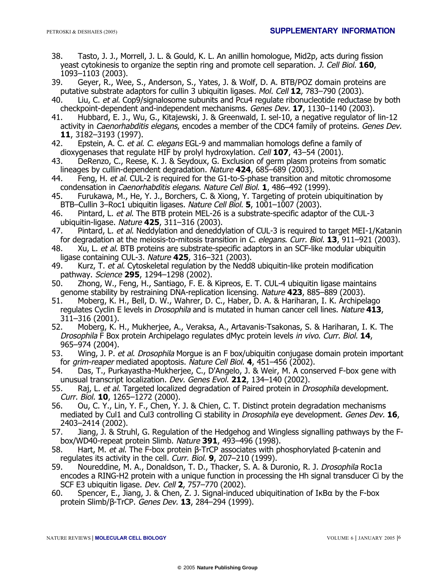- 38. Tasto, J. J., Morrell, J. L. & Gould, K. L. An anillin homologue, Mid2p, acts during fission yeast cytokinesis to organize the septin ring and promote cell separation. J. Cell Biol. **160**, 1093–1103 (2003).
- 39. Geyer, R., Wee, S., Anderson, S., Yates, J. & Wolf, D. A. BTB/POZ domain proteins are putative substrate adaptors for cullin 3 ubiquitin ligases. Mol. Cell **12**, 783–790 (2003).
- 40. Liu, C. et al. Cop9/signalosome subunits and Pcu4 regulate ribonucleotide reductase by both checkpoint-dependent and-independent mechanisms. Genes Dev. **17**, 1130–1140 (2003).
- 41. Hubbard, E. J., Wu, G., Kitajewski, J. & Greenwald, I. sel-10, a negative regulator of lin-12 activity in *Caenorhabditis elegans*, encodes a member of the CDC4 family of proteins. Genes Dev. **11**, 3182–3193 (1997).
- 42. Epstein, A. C. et al. C. elegans EGL-9 and mammalian homologs define a family of dioxygenases that regulate HIF by prolyl hydroxylation. Cell **107**, 43–54 (2001).
- 43. DeRenzo, C., Reese, K. J. & Seydoux, G. Exclusion of germ plasm proteins from somatic lineages by cullin-dependent degradation. Nature **424**, 685–689 (2003).
- 44. Feng, H. et al. CUL-2 is required for the G1-to-S-phase transition and mitotic chromosome condensation in Caenorhabditis elegans. Nature Cell Biol. **1**, 486–492 (1999).
- 45. Furukawa, M., He, Y. J., Borchers, C. & Xiong, Y. Targeting of protein ubiquitination by BTB–Cullin 3–Roc1 ubiquitin ligases. Nature Cell Biol. **5**, 1001–1007 (2003).
- 46. Pintard, L. et al. The BTB protein MEL-26 is a substrate-specific adaptor of the CUL-3 ubiquitin-ligase. Nature **425**, 311–316 (2003).
- 47. Pintard, L. et al. Neddylation and deneddylation of CUL-3 is required to target MEI-1/Katanin for degradation at the meiosis-to-mitosis transition in C. elegans. Curr. Biol. **13**, 911–921 (2003).
- 48. Xu, L. et al. BTB proteins are substrate-specific adaptors in an SCF-like modular ubiquitin ligase containing CUL-3. Nature **425**, 316–321 (2003).
- 49. Kurz, T. et al. Cytoskeletal regulation by the Nedd8 ubiquitin-like protein modification pathway. Science **295**, 1294–1298 (2002).
- 50. Zhong, W., Feng, H., Santiago, F. E. & Kipreos, E. T. CUL-4 ubiquitin ligase maintains genome stability by restraining DNA-replication licensing. Nature **423**, 885–889 (2003).
- 51. Moberg, K. H., Bell, D. W., Wahrer, D. C., Haber, D. A. & Hariharan, I. K. Archipelago regulates Cyclin E levels in Drosophila and is mutated in human cancer cell lines. Nature **413**, 311–316 (2001).
- 52. Moberg, K. H., Mukherjee, A., Veraksa, A., Artavanis-Tsakonas, S. & Hariharan, I. K. The Drosophila F Box protein Archipelago regulates dMyc protein levels in vivo. Curr. Biol. **14**, 965–974 (2004).
- 53. Wing, J. P. et al. Drosophila Morgue is an F box/ubiquitin conjugase domain protein important for grim-reaper mediated apoptosis. Nature Cell Biol. **4**, 451–456 (2002).
- 54. Das, T., Purkayastha-Mukherjee, C., D'Angelo, J. & Weir, M. A conserved F-box gene with unusual transcript localization. Dev. Genes Evol. **212**, 134–140 (2002).
- 55. Raj, L. et al. Targeted localized degradation of Paired protein in *Drosophila* development. Curr. Biol. **10**, 1265–1272 (2000).
- 56. Ou, C. Y., Lin, Y. F., Chen, Y. J. & Chien, C. T. Distinct protein degradation mechanisms mediated by Cul1 and Cul3 controlling Ci stability in Drosophila eye development. Genes Dev. **16**, 2403–2414 (2002).
- 57. Jiang, J. & Struhl, G. Regulation of the Hedgehog and Wingless signalling pathways by the Fbox/WD40-repeat protein Slimb. Nature **391**, 493–496 (1998).
- 58. Hart, M. et al. The F-box protein β-TrCP associates with phosphorylated β-catenin and regulates its activity in the cell. Curr. Biol. **9**, 207–210 (1999).
- 59. Noureddine, M. A., Donaldson, T. D., Thacker, S. A. & Duronio, R. J. Drosophila Roc1a encodes a RING-H2 protein with a unique function in processing the Hh signal transducer Ci by the SCF E3 ubiquitin ligase. Dev. Cell **2**, 757–770 (2002).
- 60. Spencer, E., Jiang, J. & Chen, Z. J. Signal-induced ubiquitination of  $I \kappa B\alpha$  by the F-box protein Slimb/β-TrCP. Genes Dev. **13**, 284–294 (1999).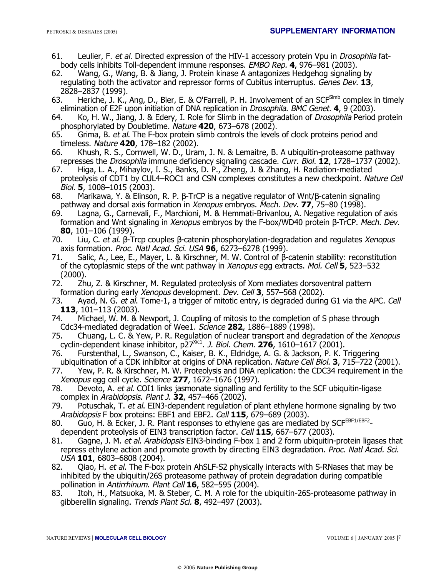- 61. Leulier, F. et al. Directed expression of the HIV-1 accessory protein Vpu in Drosophila fatbody cells inhibits Toll-dependent immune responses. EMBO Rep. **4**, 976–981 (2003).
- Wang, G., Wang, B. & Jiang, J. Protein kinase A antagonizes Hedgehog signaling by regulating both the activator and repressor forms of Cubitus interruptus. Genes Dev. **13**, 2828–2837 (1999).
- 63. Heriche, J. K., Ang, D., Bier, E. & O'Farrell, P. H. Involvement of an SCF<sup>SImb</sup> complex in timely elimination of E2F upon initiation of DNA replication in Drosophila. BMC Genet. **4**, 9 (2003).
- 64. Ko, H. W., Jiang, J. & Edery, I. Role for Slimb in the degradation of *Drosophila* Period protein phosphorylated by Doubletime. Nature **420**, 673–678 (2002).
- 65. Grima, B. et al. The F-box protein slimb controls the levels of clock proteins period and timeless. Nature **420**, 178–182 (2002).
- 66. Khush, R. S., Cornwell, W. D., Uram, J. N. & Lemaitre, B. A ubiquitin-proteasome pathway represses the Drosophila immune deficiency signaling cascade. Curr. Biol. **12**, 1728–1737 (2002).
- 67. Higa, L. A., Mihaylov, I. S., Banks, D. P., Zheng, J. & Zhang, H. Radiation-mediated proteolysis of CDT1 by CUL4–ROC1 and CSN complexes constitutes a new checkpoint. Nature Cell Biol. **5**, 1008–1015 (2003).
- 68. Marikawa, Y. & Elinson, R. P. β-TrCP is a negative regulator of Wnt/β-catenin signaling pathway and dorsal axis formation in Xenopus embryos. Mech. Dev. **77**, 75–80 (1998).
- 69. Lagna, G., Carnevali, F., Marchioni, M. & Hemmati-Brivanlou, A. Negative regulation of axis formation and Wnt signaling in Xenopus embryos by the F-box/WD40 protein β-TrCP. Mech. Dev. **80**, 101–106 (1999).
- 70. Liu, C. et al. β-Trcp couples β-catenin phosphorylation-degradation and regulates Xenopus axis formation. Proc. Natl Acad. Sci. USA **96**, 6273–6278 (1999).
- 71. Salic, A., Lee, E., Mayer, L. & Kirschner, M. W. Control of β-catenin stability: reconstitution of the cytoplasmic steps of the wnt pathway in Xenopus egg extracts. Mol. Cell **5**, 523–532
- .(2000)<br>72. Zh 72. Zhu, Z. & Kirschner, M. Regulated proteolysis of Xom mediates dorsoventral pattern formation during early Xenopus development. Dev. Cell **3**, 557–568 (2002).
- 73. Ayad, N. G. et al. Tome-1, a trigger of mitotic entry, is degraded during G1 via the APC. Cell **113**, 101–113 (2003).
- 74. Michael, W. M. & Newport, J. Coupling of mitosis to the completion of S phase through Cdc34-mediated degradation of Wee1. Science **282**, 1886–1889 (1998).
- 75. Chuang, L. C. & Yew, P. R. Regulation of nuclear transport and degradation of the Xenopus cyclin-dependent kinase inhibitor, p27Xic1. J. Biol. Chem. **276**, 1610–1617 (2001).
- 76. Furstenthal, L., Swanson, C., Kaiser, B. K., Eldridge, A. G. & Jackson, P. K. Triggering ubiquitination of a CDK inhibitor at origins of DNA replication. Nature Cell Biol. **3**, 715–722 (2001).
- 77. Yew, P. R. & Kirschner, M. W. Proteolysis and DNA replication: the CDC34 requirement in the Xenopus egg cell cycle. Science **277**, 1672–1676 (1997).
- 78. Devoto, A. et al. COI1 links jasmonate signalling and fertility to the SCF ubiquitin-ligase complex in Arabidopsis. Plant J. **32**, 457–466 (2002).
- 79. Potuschak, T. et al. EIN3-dependent regulation of plant ethylene hormone signaling by two Arabidopsis F box proteins: EBF1 and EBF2. Cell **115**, 679–689 (2003).
- 80. Guo, H. & Ecker, J. R. Plant responses to ethylene gas are mediated by SCFEBF1/EBF2 dependent proteolysis of EIN3 transcription factor. Cell **115**, 667–677 (2003).
- 81. Gagne, J. M. et al. Arabidopsis EIN3-binding F-box 1 and 2 form ubiquitin-protein ligases that repress ethylene action and promote growth by directing EIN3 degradation. *Proc. Natl Acad. Sci.* USA **101**, 6803–6808 (2004).
- 82. Qiao, H. et al. The F-box protein AhSLF-S2 physically interacts with S-RNases that may be inhibited by the ubiquitin/26S proteasome pathway of protein degradation during compatible pollination in Antirrhinum. Plant Cell **16**, 582–595 (2004).
- 83. Itoh, H., Matsuoka, M. & Steber, C. M. A role for the ubiquitin-26S-proteasome pathway in gibberellin signaling. Trends Plant Sci. **8**, 492–497 (2003).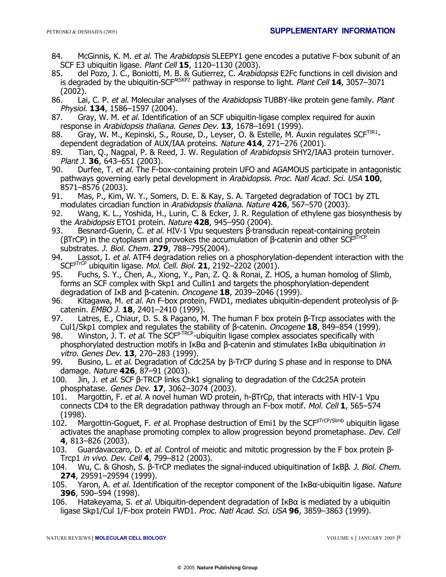- 84. McGinnis, K. M. et al. The Arabidopsis SLEEPY1 gene encodes a putative F-box subunit of an SCF E3 ubiquitin ligase. Plant Cell **15**, 1120–1130 (2003).
- 85. del Pozo, J. C., Boniotti, M. B. & Gutierrez, C. Arabidopsis E2Fc functions in cell division and is degraded by the ubiquitin-SCFAtSKP2 pathway in response to light. Plant Cell **14**, 3057–3071 (2002).<br>86. Lai
- Lai, C. P. et al. Molecular analyses of the Arabidopsis TUBBY-like protein gene family. Plant Physiol. **134**, 1586–1597 (2004).
- 87. Gray, W. M. et al. Identification of an SCF ubiquitin-ligase complex required for auxin response in Arabidopsis thaliana. Genes Dev. **13**, 1678–1691 (1999).
- 88. Gray, W. M., Kepinski, S., Rouse, D., Leyser, O. & Estelle, M. Auxin regulates SCF<sup>TIR1</sup>dependent degradation of AUX/IAA proteins. Nature **414**, 271–276 (2001).
- 89. Tian, Q., Nagpal, P. & Reed, J. W. Regulation of Arabidopsis SHY2/IAA3 protein turnover. Plant J. **36**, 643–651 (2003).
- 90. Durfee, T. et al. The F-box-containing protein UFO and AGAMOUS participate in antagonistic pathways governing early petal development in Arabidopsis. Proc. Natl Acad. Sci. USA **100**, 8571–8576 (2003).
- 91. Mas, P., Kim, W. Y., Somers, D. E. & Kay, S. A. Targeted degradation of TOC1 by ZTL modulates circadian function in Arabidopsis thaliana. Nature **426**, 567–570 (2003).
- 92. Wang, K. L., Yoshida, H., Lurin, C. & Ecker, J. R. Regulation of ethylene gas biosynthesis by the Arabidopsis ETO1 protein. Nature **428**, 945–950 (2004).
- 93. Besnard-Guerin, C. et al. HIV-1 Vpu sequesters β-transducin repeat-containing protein (βTrCP) in the cytoplasm and provokes the accumulation of β-catenin and other  $SCF<sup>BTFC</sup>$ substrates. J. Biol. Chem. **279**, 788–795(2004).
- Lassot, I. et al. ATF4 degradation relies on a phosphorylation-dependent interaction with the SCF<sup>β</sup>TrCP ubiquitin ligase. Mol. Cell. Biol. **21**, 2192–2202 (2001).
- 95. Fuchs, S. Y., Chen, A., Xiong, Y., Pan, Z. Q. & Ronai, Z. HOS, a human homolog of Slimb, forms an SCF complex with Skp1 and Cullin1 and targets the phosphorylation-dependent degradation of IκB and β-catenin. *Oncogene* **18**, 2039–2046 (1999).<br>96. Kitagawa, M. *et al.* An F-box protein. FWD1, mediates ubiquitin-
- Kitagawa, M. et al. An F-box protein, FWD1, mediates ubiquitin-dependent proteolysis of βcatenin. EMBO J. **18**, 2401–2410 (1999).
- Latres, E., Chiaur, D. S. & Pagano, M. The human F box protein β-Trcp associates with the Cul1/Skp1 complex and regulates the stability of β-catenin. Oncogene **18**, 849–854 (1999).
- 98. Winston, J. T. et al. The SCF<sup>β-TRCP</sup>-ubiquitin ligase complex associates specifically with phosphorylated destruction motifs in IκBα and β-catenin and stimulates IκBα ubiquitination in vitro. Genes Dev. **13**, 270–283 (1999).
- 99. Busino, L. et al. Degradation of Cdc25A by β-TrCP during S phase and in response to DNA damage. Nature **426**, 87–91 (2003).
- 100. Jin, J. et al. SCF β-TRCP links Chk1 signaling to degradation of the Cdc25A protein phosphatase. Genes Dev. **17**, 3062–3074 (2003).
- 101. Margottin, F. et al. A novel human WD protein, h-βTrCp, that interacts with HIV-1 Vpu connects CD4 to the ER degradation pathway through an F-box motif. Mol. Cell **1**, 565–574 (1998).
- 102. Margottin-Goguet, F. et al. Prophase destruction of Emi1 by the SCF<sup>βTrCP/Slimb</sup> ubiquitin ligase activates the anaphase promoting complex to allow progression beyond prometaphase. Dev. Cell **4**, 813–826 (2003).
- 103. Guardavaccaro, D. et al. Control of meiotic and mitotic progression by the F box protein β-Trcp1 in vivo. Dev. Cell **4**, 799–812 (2003).
- 104. Wu, C. & Ghosh, S. β-TrCP mediates the signal-induced ubiquitination of IκBβ. J. Biol. Chem. **274**, 29591–29594 (1999).
- 105. Yaron, A. et al. Identification of the receptor component of the I $\kappa$ B $\alpha$ -ubiquitin ligase. Nature **396**, 590–594 (1998).
- 106. Hatakeyama, S. et al. Ubiquitin-dependent degradation of I<sub>K</sub>B $\alpha$  is mediated by a ubiquitin ligase Skp1/Cul 1/F-box protein FWD1. Proc. Natl Acad. Sci. USA **96**, 3859–3863 (1999).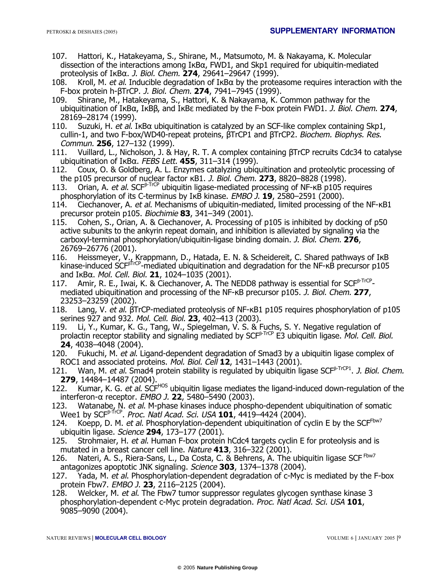- 107. Hattori, K., Hatakeyama, S., Shirane, M., Matsumoto, M. & Nakayama, K. Molecular dissection of the interactions among  $I \kappa B\alpha$ , FWD1, and Skp1 required for ubiquitin-mediated proteolysis of IκBα. J. Biol. Chem. **274**, 29641–29647 (1999).
- 108. Kroll, M. et al. Inducible degradation of  $I \kappa B\alpha$  by the proteasome requires interaction with the F-box protein h-βTrCP. J. Biol. Chem. **274**, 7941–7945 (1999).
- 109. Shirane, M., Hatakeyama, S., Hattori, K. & Nakayama, K. Common pathway for the ubiquitination of IκBα, IκBβ, and IκBε mediated by the F-box protein FWD1. J. Biol. Chem. **274**, 28169–28174 (1999).
- 110. Suzuki, H. et al. I $\kappa$ B $\alpha$  ubiquitination is catalyzed by an SCF-like complex containing Skp1, cullin-1, and two F-box/WD40-repeat proteins, βTrCP1 and βTrCP2. Biochem. Biophys. Res. Commun. **256**, 127–132 (1999).
- 111. Vuillard, L., Nicholson, J. & Hay, R. T. A complex containing βTrCP recruits Cdc34 to catalyse ubiquitination of IκBα. FEBS Lett. **455**, 311–314 (1999).
- 112. Coux, O. & Goldberg, A. L. Enzymes catalyzing ubiquitination and proteolytic processing of the p105 precursor of nuclear factor κB1. J. Biol. Chem. **273**, 8820–8828 (1998).
- 113. Orian, A. et al. SCF<sup>β-TrCP</sup> ubiquitin ligase-mediated processing of NF-κB p105 requires phosphorylation of its C-terminus by IκB kinase. EMBO J. **19**, 2580–2591 (2000).
- 114. Ciechanover, A. et al. Mechanisms of ubiquitin-mediated, limited processing of the NF- $\kappa$ B1 precursor protein p105. Biochimie **83**, 341–349 (2001).
- 115. Cohen, S., Orian, A. & Ciechanover, A. Processing of p105 is inhibited by docking of p50 active subunits to the ankyrin repeat domain, and inhibition is alleviated by signaling via the carboxyl-terminal phosphorylation/ubiquitin-ligase binding domain. J. Biol. Chem. **276**, 26769–26776 (2001).
- 116. Heissmeyer, V., Krappmann, D., Hatada, E. N. & Scheidereit, C. Shared pathways of IkB kinase-induced SCF<sup>β</sup>TrCP-mediated ubiquitination and degradation for the NF-κB precursor p105 and IκBα. Mol. Cell. Biol. **21**, 1024–1035 (2001).
- 117. Amir, R. E., Iwai, K. & Ciechanover, A. The NEDD8 pathway is essential for SCF<sup>β-TrCP</sup>mediated ubiquitination and processing of the NF-κB precursor p105. J. Biol. Chem. **277**, 23253–23259 (2002).
- 118. Lang, V. et al. βTrCP-mediated proteolysis of NF-κB1 p105 requires phosphorylation of p105 serines 927 and 932. Mol. Cell. Biol. **23**, 402–413 (2003).
- 119. Li, Y., Kumar, K. G., Tang, W., Spiegelman, V. S. & Fuchs, S. Y. Negative regulation of prolactin receptor stability and signaling mediated by SCF<sup>β-TrCP</sup> E3 ubiquitin ligase. Mol. Cell. Biol. **24**, 4038–4048 (2004).
- 120. Fukuchi, M. et al. Ligand-dependent degradation of Smad3 by a ubiquitin ligase complex of ROC1 and associated proteins. Mol. Biol. Cell **12**, 1431–1443 (2001).
- 121. Wan, M. et al. Smad4 protein stability is regulated by ubiquitin ligase SCF<sup>β-TrCP1</sup>. J. Biol. Chem. **279**, 14484–14487 (2004).
- 122. Kumar, K. G. et al. SCF<sup>HOS</sup> ubiquitin ligase mediates the ligand-induced down-regulation of the interferon-α receptor. EMBO J. **22**, 5480–5490 (2003).
- 123. Watanabe, N. et al. M-phase kinases induce phospho-dependent ubiquitination of somatic Wee1 by SCF<sup>β</sup>-TrCP. Proc. Natl Acad. Sci. USA **101**, 4419–4424 (2004).
- 124. Koepp, D. M. et al. Phosphorylation-dependent ubiquitination of cyclin E by the SCFFbw7 ubiquitin ligase. Science **294**, 173–177 (2001).
- 125. Strohmaier, H. et al. Human F-box protein hCdc4 targets cyclin E for proteolysis and is mutated in a breast cancer cell line. Nature **413**, 316–322 (2001).
- 126. Nateri, A. S., Riera-Sans, L., Da Costa, C. & Behrens, A. The ubiquitin ligase SCF<sup>Fbw7</sup>
- antagonizes apoptotic JNK signaling. Science **303**, 1374–1378 (2004). Yada, M. et al. Phosphorylation-dependent degradation of c-Myc is mediated by the F-box protein Fbw7. EMBO J. **23**, 2116–2125 (2004).
- 128. Welcker, M. et al. The Fbw7 tumor suppressor regulates glycogen synthase kinase 3 phosphorylation-dependent c-Myc protein degradation. Proc. Natl Acad. Sci. USA **101**, 9085–9090 (2004).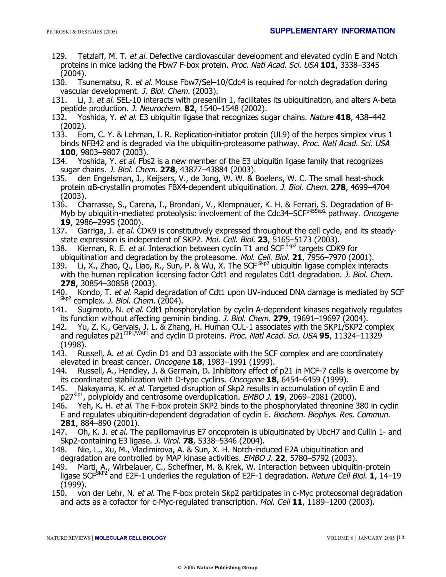- 129. Tetzlaff, M. T. et al. Defective cardiovascular development and elevated cyclin E and Notch proteins in mice lacking the Fbw7 F-box protein. Proc. Natl Acad. Sci. USA **101**, 3338–3345 (2004).
- 130. Tsunematsu, R. et al. Mouse Fbw7/Sel-10/Cdc4 is required for notch degradation during vascular development. J. Biol. Chem. (2003).
- 131. Li, J. et al. SEL-10 interacts with presenilin 1, facilitates its ubiquitination, and alters A-beta peptide production. J. Neurochem. **82**, 1540–1548 (2002).
- 132. Yoshida, Y. et al. E3 ubiquitin ligase that recognizes sugar chains. Nature **418**, 438–442 (2002).
- 133. Eom, C. Y. & Lehman, I. R. Replication-initiator protein (UL9) of the herpes simplex virus 1 binds NFB42 and is degraded via the ubiquitin-proteasome pathway. Proc. Natl Acad. Sci. USA **100**, 9803–9807 (2003).
- 134. Yoshida, Y. et al. Fbs2 is a new member of the E3 ubiquitin ligase family that recognizes sugar chains. J. Biol. Chem. **278**, 43877–43884 (2003).
- 135. den Engelsman, J., Keijsers, V., de Jong, W. W. & Boelens, W. C. The small heat-shock protein αB-crystallin promotes FBX4-dependent ubiquitination. J. Biol. Chem. **278**, 4699–4704 (2003).
- 136. Charrasse, S., Carena, I., Brondani, V., Klempnauer, K. H. & Ferrari, S. Degradation of B-Myb by ubiquitin-mediated proteolysis: involvement of the Cdc34-SCF<sup>p455kp2</sup> pathway. Oncogene **19**, 2986–2995 (2000).
- 137. Garriga, J. et al. CDK9 is constitutively expressed throughout the cell cycle, and its steadystate expression is independent of SKP2. Mol. Cell. Biol. **23**, 5165–5173 (2003).
- 138. Kiernan, R. E. et al. Interaction between cyclin T1 and SCF  ${}^{Skp2}$  targets CDK9 for ubiquitination and degradation by the proteasome. Mol. Cell. Biol. **21**, 7956–7970 (2001).
- 139. Li, X., Zhao, Q., Liao, R., Sun, P. & Wu, X. The SCF<sup>Skp2</sup> ubiquitin ligase complex interacts with the human replication licensing factor Cdt1 and regulates Cdt1 degradation. *J. Biol. Chem.* **278**, 30854–30858 (2003).
- 140. Kondo, T. et al. Rapid degradation of Cdt1 upon UV-induced DNA damage is mediated by SCF Skp2 complex. J. Biol. Chem. (2004).
- 141. Sugimoto, N. et al. Cdt1 phosphorylation by cyclin A-dependent kinases negatively regulates its function without affecting geminin binding. J. Biol. Chem. **279**, 19691–19697 (2004).
- 142. Yu, Z. K., Gervais, J. L. & Zhang, H. Human CUL-1 associates with the SKP1/SKP2 complex and regulates p21CIP1/WAF1 and cyclin D proteins. Proc. Natl Acad. Sci. USA **95**, 11324–11329 (1998).
- 143. Russell, A. et al. Cyclin D1 and D3 associate with the SCF complex and are coordinately elevated in breast cancer. Oncogene **18**, 1983–1991 (1999).
- 144. Russell, A., Hendley, J. & Germain, D. Inhibitory effect of p21 in MCF-7 cells is overcome by its coordinated stabilization with D-type cyclins. Oncogene **18**, 6454–6459 (1999).
- 145. Nakayama, K. et al. Targeted disruption of Skp2 results in accumulation of cyclin E and p27<sup>Kip1</sup>, polyploidy and centrosome overduplication. EMBO J. 19, 2069–2081 (2000).
- 146. Yeh, K. H. et al. The F-box protein SKP2 binds to the phosphorylated threonine 380 in cyclin E and regulates ubiquitin-dependent degradation of cyclin E. Biochem. Biophys. Res. Commun. **281**, 884–890 (2001).
- 147. Oh, K. J. et al. The papillomavirus E7 oncoprotein is ubiquitinated by UbcH7 and Cullin 1- and Skp2-containing E3 ligase. J. Virol. **78**, 5338–5346 (2004).
- 148. Nie, L., Xu, M., Vladimirova, A. & Sun, X. H. Notch-induced E2A ubiquitination and degradation are controlled by MAP kinase activities. EMBO J. **22**, 5780–5792 (2003).
- 149. Marti, A., Wirbelauer, C., Scheffner, M. & Krek, W. Interaction between ubiquitin-protein ligase SCF<sup>SKP2</sup> and E2F-1 underlies the regulation of E2F-1 degradation. Nature Cell Biol. **1**, 14–19 (1999).
- 150. von der Lehr, N. et al. The F-box protein Skp2 participates in c-Myc proteosomal degradation and acts as a cofactor for c-Myc-regulated transcription. Mol. Cell **11**, 1189–1200 (2003).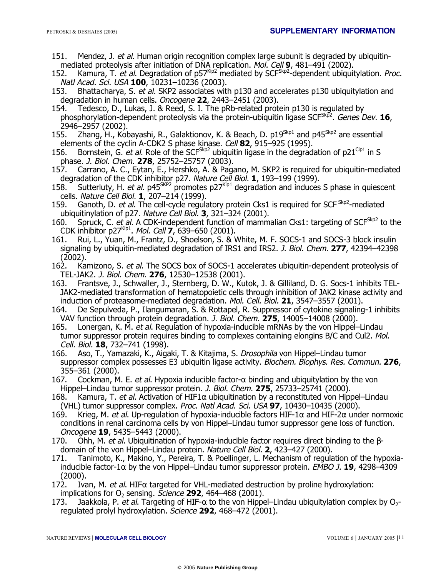- 151. Mendez, J. et al. Human origin recognition complex large subunit is degraded by ubiquitinmediated proteolysis after initiation of DNA replication. Mol. Cell **9**, 481–491 (2002).
- 152. Kamura, T. et al. Degradation of p57<sup>Kip2</sup> mediated by SCF<sup>Skp2</sup>-dependent ubiquitylation. *Proc.* Natl Acad. Sci. USA **100**, 10231–10236 (2003).
- 153. Bhattacharya, S. et al. SKP2 associates with p130 and accelerates p130 ubiquitylation and degradation in human cells. Oncogene **22**, 2443–2451 (2003).
- 154. Tedesco, D., Lukas, J. & Reed, S. I. The pRb-related protein p130 is regulated by phosphorylation-dependent proteolysis via the protein-ubiquitin ligase SCF<sup>Skp2</sup>. Genes Dev. **16**, 2946–2957 (2002).
- 155. Zhang, H., Kobayashi, R., Galaktionov, K. & Beach, D. p19<sup>Skp1</sup> and p45<sup>Skp2</sup> are essential elements of the cyclin A-CDK2 S phase kinase. Cell **82**, 915–925 (1995).
- 156. Bornstein, G. et al. Role of the SCF<sup>Skp2</sup> ubiquitin ligase in the degradation of p21<sup>Cip1</sup> in S phase. J. Biol. Chem. **278**, 25752–25757 (2003).
- 157. Carrano, A. C., Eytan, E., Hershko, A. & Pagano, M. SKP2 is required for ubiquitin-mediated degradation of the CDK inhibitor p27. Nature Cell Biol. **1**, 193–199 (1999).
- 158. Sutterluty, H. et al. p45<sup>SKP2</sup> promotes  $p27^{kip1}$  degradation and induces S phase in quiescent cells. Nature Cell Biol. **1**, 207–214 (1999).
- 159. Ganoth, D. et al. The cell-cycle regulatory protein Cks1 is required for SCF <sup>Skp2</sup>-mediated ubiquitinylation of p27. Nature Cell Biol. **3**, 321–324 (2001).
- 160. Spruck, C. et al. A CDK-independent function of mammalian Cks1: targeting of SCF<sup>Skp2</sup> to the CDK inhibitor p27Kip1. Mol. Cell **7**, 639–650 (2001).
- 161. Rui, L., Yuan, M., Frantz, D., Shoelson, S. & White, M. F. SOCS-1 and SOCS-3 block insulin signaling by ubiquitin-mediated degradation of IRS1 and IRS2. J. Biol. Chem. **277**, 42394–42398 (2002).
- 162. Kamizono, S. et al. The SOCS box of SOCS-1 accelerates ubiquitin-dependent proteolysis of TEL-JAK2. J. Biol. Chem. **276**, 12530–12538 (2001).
- 163. Frantsve, J., Schwaller, J., Sternberg, D. W., Kutok, J. & Gilliland, D. G. Socs-1 inhibits TEL-JAK2-mediated transformation of hematopoietic cells through inhibition of JAK2 kinase activity and induction of proteasome-mediated degradation. Mol. Cell. Biol. **21**, 3547–3557 (2001).
- 164. De Sepulveda, P., Ilangumaran, S. & Rottapel, R. Suppressor of cytokine signaling-1 inhibits VAV function through protein degradation. J. Biol. Chem. **275**, 14005–14008 (2000).
- 165. Lonergan, K. M. et al. Regulation of hypoxia-inducible mRNAs by the von Hippel–Lindau tumor suppressor protein requires binding to complexes containing elongins B/C and Cul2. Mol. Cell. Biol. **18**, 732–741 (1998).
- 166. Aso, T., Yamazaki, K., Aigaki, T. & Kitajima, S. Drosophila von Hippel–Lindau tumor suppressor complex possesses E3 ubiquitin ligase activity. Biochem. Biophys. Res. Commun. **276**, 355–361 (2000).
- 167. Cockman, M. E. et al. Hypoxia inducible factor- $\alpha$  binding and ubiquitylation by the von Hippel–Lindau tumor suppressor protein. J. Biol. Chem. **275**, 25733–25741 (2000).
- 168. Kamura, T. et al. Activation of HIF1 $\alpha$  ubiquitination by a reconstituted von Hippel–Lindau (VHL) tumor suppressor complex. Proc. Natl Acad. Sci. USA **97**, 10430–10435 (2000).
- 169. Krieg, M. et al. Up-regulation of hypoxia-inducible factors HIF-1 $\alpha$  and HIF-2 $\alpha$  under normoxic conditions in renal carcinoma cells by von Hippel–Lindau tumor suppressor gene loss of function. Oncogene **19**, 5435–5443 (2000).
- 170. Ohh, M. et al. Ubiquitination of hypoxia-inducible factor requires direct binding to the βdomain of the von Hippel–Lindau protein. Nature Cell Biol. **2**, 423–427 (2000).
- 171. Tanimoto, K., Makino, Y., Pereira, T. & Poellinger, L. Mechanism of regulation of the hypoxiainducible factor-1 $\alpha$  by the von Hippel–Lindau tumor suppressor protein. *EMBO J.* **19**, 4298–4309 (2000).<br>172. Iva
- Ivan, M. et al. HIF $\alpha$  targeted for VHL-mediated destruction by proline hydroxylation: implications for O2 sensing. Science **292**, 464–468 (2001).
- 173. Jaakkola, P. et al. Targeting of HIF- $\alpha$  to the von Hippel–Lindau ubiquitylation complex by O<sub>2</sub>regulated prolyl hydroxylation. Science **292**, 468–472 (2001).